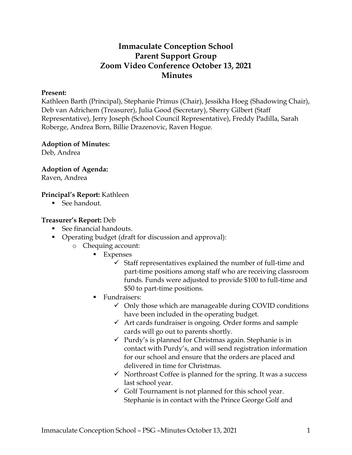## **Immaculate Conception School Parent Support Group Zoom Video Conference October 13, 2021 Minutes**

#### **Present:**

Kathleen Barth (Principal), Stephanie Primus (Chair), Jessikha Hoeg (Shadowing Chair), Deb van Adrichem (Treasurer), Julia Good (Secretary), Sherry Gilbert (Staff Representative), Jerry Joseph (School Council Representative), Freddy Padilla, Sarah Roberge, Andrea Born, Billie Drazenovic, Raven Hogue.

# **Adoption of Minutes:**

Deb, Andrea

**Adoption of Agenda:**

Raven, Andrea

#### **Principal's Report:** Kathleen

See handout.

#### **Treasurer's Report:** Deb

- See financial handouts.
- Operating budget (draft for discussion and approval):
	- o Chequing account:
		- Expenses
			- $\checkmark$  Staff representatives explained the number of full-time and part-time positions among staff who are receiving classroom funds. Funds were adjusted to provide \$100 to full-time and \$50 to part-time positions.
		- **Fundraisers:** 
			- $\checkmark$  Only those which are manageable during COVID conditions have been included in the operating budget.
			- $\checkmark$  Art cards fundraiser is ongoing. Order forms and sample cards will go out to parents shortly.
			- $\checkmark$  Purdy's is planned for Christmas again. Stephanie is in contact with Purdy's, and will send registration information for our school and ensure that the orders are placed and delivered in time for Christmas.
			- $\checkmark$  Northroast Coffee is planned for the spring. It was a success last school year.
			- $\checkmark$  Golf Tournament is not planned for this school year. Stephanie is in contact with the Prince George Golf and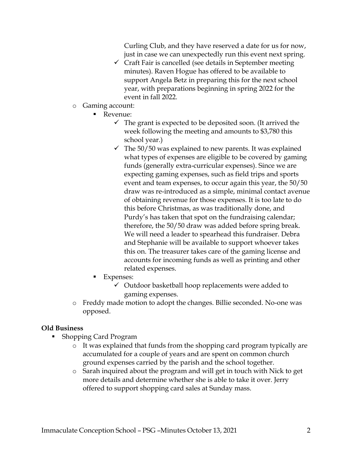Curling Club, and they have reserved a date for us for now, just in case we can unexpectedly run this event next spring.

- $\checkmark$  Craft Fair is cancelled (see details in September meeting minutes). Raven Hogue has offered to be available to support Angela Betz in preparing this for the next school year, with preparations beginning in spring 2022 for the event in fall 2022.
- o Gaming account:
	- Revenue:
		- $\checkmark$  The grant is expected to be deposited soon. (It arrived the week following the meeting and amounts to \$3,780 this school year.)
		- $\checkmark$  The 50/50 was explained to new parents. It was explained what types of expenses are eligible to be covered by gaming funds (generally extra-curricular expenses). Since we are expecting gaming expenses, such as field trips and sports event and team expenses, to occur again this year, the 50/50 draw was re-introduced as a simple, minimal contact avenue of obtaining revenue for those expenses. It is too late to do this before Christmas, as was traditionally done, and Purdy's has taken that spot on the fundraising calendar; therefore, the 50/50 draw was added before spring break. We will need a leader to spearhead this fundraiser. Debra and Stephanie will be available to support whoever takes this on. The treasurer takes care of the gaming license and accounts for incoming funds as well as printing and other related expenses.
	- Expenses:
		- $\checkmark$  Outdoor basketball hoop replacements were added to gaming expenses.
- o Freddy made motion to adopt the changes. Billie seconded. No-one was opposed.

#### **Old Business**

- Shopping Card Program
	- o It was explained that funds from the shopping card program typically are accumulated for a couple of years and are spent on common church ground expenses carried by the parish and the school together.
	- o Sarah inquired about the program and will get in touch with Nick to get more details and determine whether she is able to take it over. Jerry offered to support shopping card sales at Sunday mass.